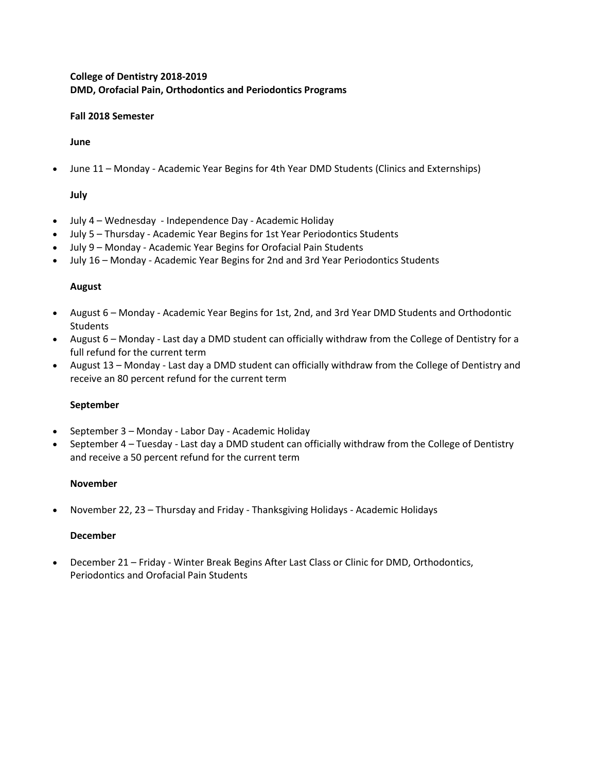# **College of Dentistry 2018-2019 DMD, Orofacial Pain, Orthodontics and Periodontics Programs**

#### **Fall 2018 Semester**

**June**

• June 11 – Monday - Academic Year Begins for 4th Year DMD Students (Clinics and Externships)

# **July**

- July 4 Wednesday Independence Day Academic Holiday
- July 5 Thursday Academic Year Begins for 1st Year Periodontics Students
- July 9 Monday Academic Year Begins for Orofacial Pain Students
- July 16 Monday Academic Year Begins for 2nd and 3rd Year Periodontics Students

### **August**

- August 6 Monday Academic Year Begins for 1st, 2nd, and 3rd Year DMD Students and Orthodontic Students
- August 6 Monday Last day a DMD student can officially withdraw from the College of Dentistry for a full refund for the current term
- August 13 Monday Last day a DMD student can officially withdraw from the College of Dentistry and receive an 80 percent refund for the current term

### **September**

- September 3 Monday Labor Day Academic Holiday
- September 4 Tuesday Last day a DMD student can officially withdraw from the College of Dentistry and receive a 50 percent refund for the current term

### **November**

• November 22, 23 – Thursday and Friday - Thanksgiving Holidays - Academic Holidays

### **December**

• December 21 – Friday - Winter Break Begins After Last Class or Clinic for DMD, Orthodontics, Periodontics and Orofacial Pain Students